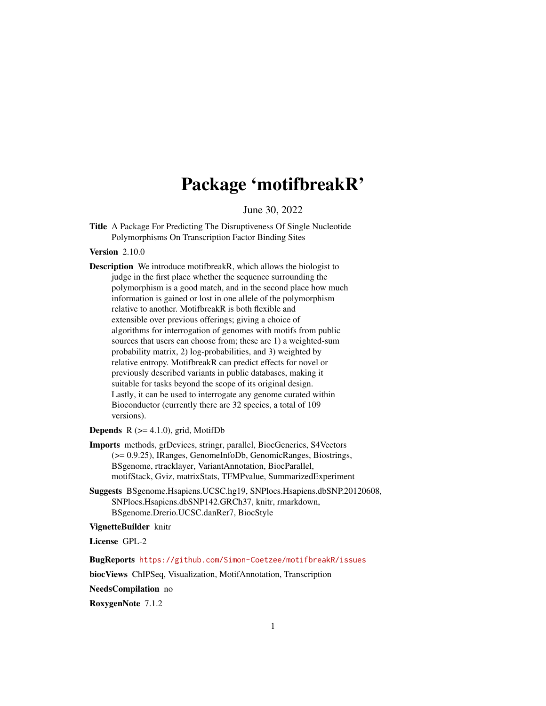# Package 'motifbreakR'

June 30, 2022

<span id="page-0-0"></span>Title A Package For Predicting The Disruptiveness Of Single Nucleotide Polymorphisms On Transcription Factor Binding Sites

Version 2.10.0

Description We introduce motifbreakR, which allows the biologist to judge in the first place whether the sequence surrounding the polymorphism is a good match, and in the second place how much information is gained or lost in one allele of the polymorphism relative to another. MotifbreakR is both flexible and extensible over previous offerings; giving a choice of algorithms for interrogation of genomes with motifs from public sources that users can choose from; these are 1) a weighted-sum probability matrix, 2) log-probabilities, and 3) weighted by relative entropy. MotifbreakR can predict effects for novel or previously described variants in public databases, making it suitable for tasks beyond the scope of its original design. Lastly, it can be used to interrogate any genome curated within Bioconductor (currently there are 32 species, a total of 109 versions).

**Depends**  $R$  ( $>= 4.1.0$ ), grid, MotifDb

- Imports methods, grDevices, stringr, parallel, BiocGenerics, S4Vectors (>= 0.9.25), IRanges, GenomeInfoDb, GenomicRanges, Biostrings, BSgenome, rtracklayer, VariantAnnotation, BiocParallel, motifStack, Gviz, matrixStats, TFMPvalue, SummarizedExperiment
- Suggests BSgenome.Hsapiens.UCSC.hg19, SNPlocs.Hsapiens.dbSNP.20120608, SNPlocs.Hsapiens.dbSNP142.GRCh37, knitr, rmarkdown, BSgenome.Drerio.UCSC.danRer7, BiocStyle

VignetteBuilder knitr

License GPL-2

BugReports <https://github.com/Simon-Coetzee/motifbreakR/issues>

biocViews ChIPSeq, Visualization, MotifAnnotation, Transcription

NeedsCompilation no

RoxygenNote 7.1.2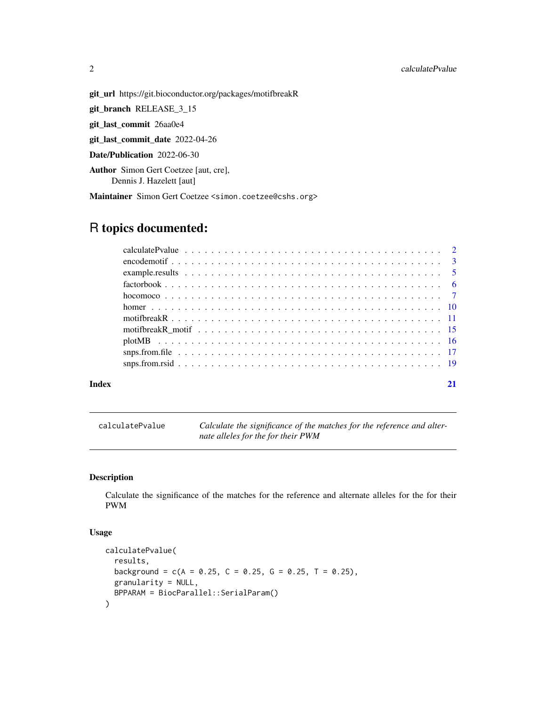### <span id="page-1-0"></span>2 calculatePvalue

git\_url https://git.bioconductor.org/packages/motifbreakR

git\_branch RELEASE\_3\_15

git\_last\_commit 26aa0e4

git\_last\_commit\_date 2022-04-26

Date/Publication 2022-06-30

Author Simon Gert Coetzee [aut, cre], Dennis J. Hazelett [aut]

Maintainer Simon Gert Coetzee <simon.coetzee@cshs.org>

# R topics documented:

| Index |  |
|-------|--|

<span id="page-1-1"></span>calculatePvalue *Calculate the significance of the matches for the reference and alternate alleles for the for their PWM*

# Description

Calculate the significance of the matches for the reference and alternate alleles for the for their PWM

## Usage

```
calculatePvalue(
  results,
 background = c(A = 0.25, C = 0.25, G = 0.25, T = 0.25),
 granularity = NULL,
 BPPARAM = BiocParallel::SerialParam()
)
```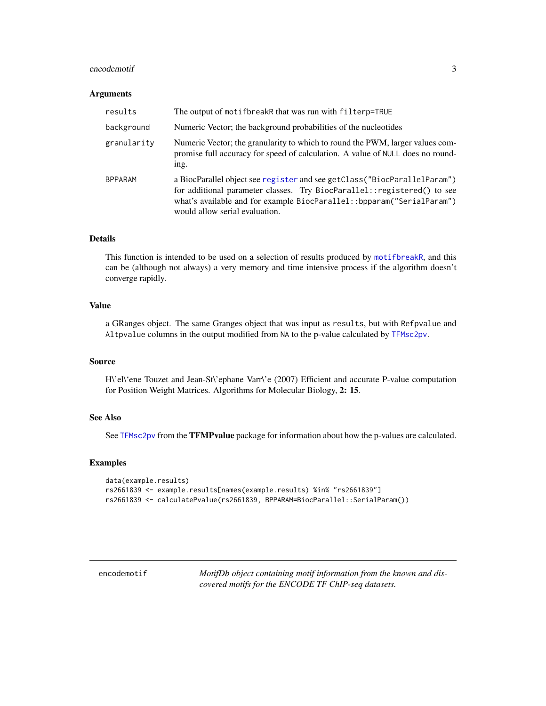#### <span id="page-2-0"></span>encodemotif 3

#### **Arguments**

| results        | The output of motifbreakR that was run with filterp=TRUE                                                                                                                                                                                                       |
|----------------|----------------------------------------------------------------------------------------------------------------------------------------------------------------------------------------------------------------------------------------------------------------|
| background     | Numeric Vector; the background probabilities of the nucleotides                                                                                                                                                                                                |
| granularity    | Numeric Vector; the granularity to which to round the PWM, larger values com-<br>promise full accuracy for speed of calculation. A value of NULL does no round-<br>ing.                                                                                        |
| <b>BPPARAM</b> | a BiocParallel object see register and see getClass("BiocParallelParam")<br>for additional parameter classes. Try BiocParallel::registered() to see<br>what's available and for example BiocParallel::bpparam("SerialParam")<br>would allow serial evaluation. |

#### Details

This function is intended to be used on a selection of results produced by [motifbreakR](#page-10-1), and this can be (although not always) a very memory and time intensive process if the algorithm doesn't converge rapidly.

#### Value

a GRanges object. The same Granges object that was input as results, but with Refpvalue and Altpvalue columns in the output modified from NA to the p-value calculated by [TFMsc2pv](#page-0-0).

#### Source

H\'el\'ene Touzet and Jean-St\'ephane Varr\'e (2007) Efficient and accurate P-value computation for Position Weight Matrices. Algorithms for Molecular Biology, 2: 15.

# See Also

See [TFMsc2pv](#page-0-0) from the TFMPvalue package for information about how the p-values are calculated.

#### Examples

```
data(example.results)
rs2661839 <- example.results[names(example.results) %in% "rs2661839"]
rs2661839 <- calculatePvalue(rs2661839, BPPARAM=BiocParallel::SerialParam())
```
<span id="page-2-1"></span>encodemotif *MotifDb object containing motif information from the known and discovered motifs for the ENCODE TF ChIP-seq datasets.*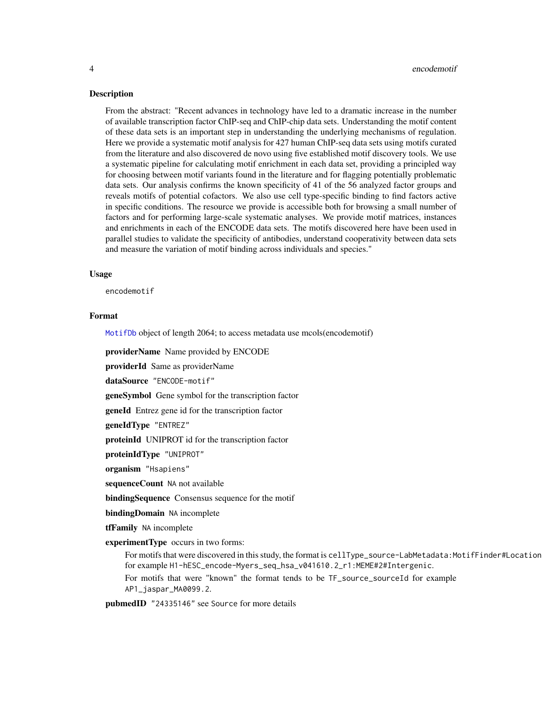#### <span id="page-3-0"></span>Description

From the abstract: "Recent advances in technology have led to a dramatic increase in the number of available transcription factor ChIP-seq and ChIP-chip data sets. Understanding the motif content of these data sets is an important step in understanding the underlying mechanisms of regulation. Here we provide a systematic motif analysis for 427 human ChIP-seq data sets using motifs curated from the literature and also discovered de novo using five established motif discovery tools. We use a systematic pipeline for calculating motif enrichment in each data set, providing a principled way for choosing between motif variants found in the literature and for flagging potentially problematic data sets. Our analysis confirms the known specificity of 41 of the 56 analyzed factor groups and reveals motifs of potential cofactors. We also use cell type-specific binding to find factors active in specific conditions. The resource we provide is accessible both for browsing a small number of factors and for performing large-scale systematic analyses. We provide motif matrices, instances and enrichments in each of the ENCODE data sets. The motifs discovered here have been used in parallel studies to validate the specificity of antibodies, understand cooperativity between data sets and measure the variation of motif binding across individuals and species."

#### Usage

encodemotif

#### Format

[MotifDb](#page-0-0) object of length 2064; to access metadata use mcols(encodemotif)

providerName Name provided by ENCODE

providerId Same as providerName

dataSource "ENCODE-motif"

geneSymbol Gene symbol for the transcription factor

geneId Entrez gene id for the transcription factor

geneIdType "ENTREZ"

proteinId UNIPROT id for the transcription factor

proteinIdType "UNIPROT"

organism "Hsapiens"

sequenceCount NA not available

bindingSequence Consensus sequence for the motif

**bindingDomain** NA incomplete

tfFamily NA incomplete

experimentType occurs in two forms:

For motifs that were discovered in this study, the format is cellType\_source-LabMetadata:MotifFinder#Location for example H1-hESC\_encode-Myers\_seq\_hsa\_v041610.2\_r1:MEME#2#Intergenic.

For motifs that were "known" the format tends to be TF\_source\_sourceId for example AP1\_jaspar\_MA0099.2.

pubmedID "24335146" see Source for more details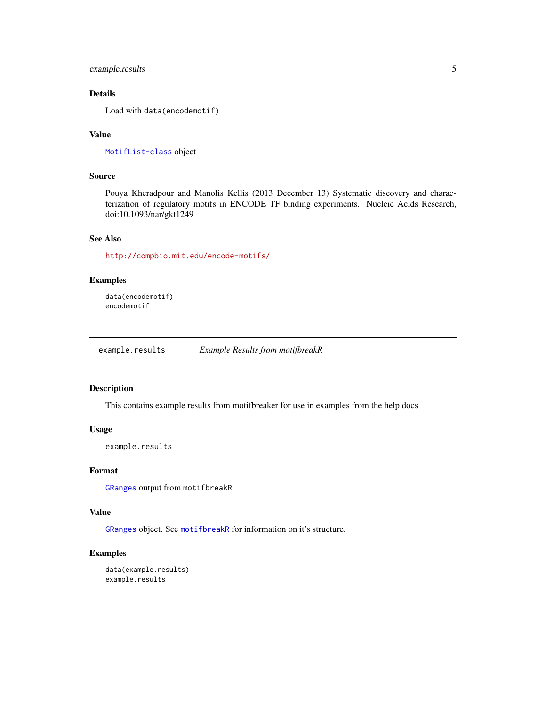# <span id="page-4-0"></span>example.results 5

# Details

Load with data(encodemotif)

# Value

[MotifList-class](#page-0-0) object

# Source

Pouya Kheradpour and Manolis Kellis (2013 December 13) Systematic discovery and characterization of regulatory motifs in ENCODE TF binding experiments. Nucleic Acids Research, doi:10.1093/nar/gkt1249

# See Also

<http://compbio.mit.edu/encode-motifs/>

# Examples

```
data(encodemotif)
encodemotif
```
example.results *Example Results from motifbreakR*

### Description

This contains example results from motifbreaker for use in examples from the help docs

#### Usage

example.results

#### Format

[GRanges](#page-0-0) output from motifbreakR

#### Value

[GRanges](#page-0-0) object. See [motifbreakR](#page-10-1) for information on it's structure.

# Examples

```
data(example.results)
example.results
```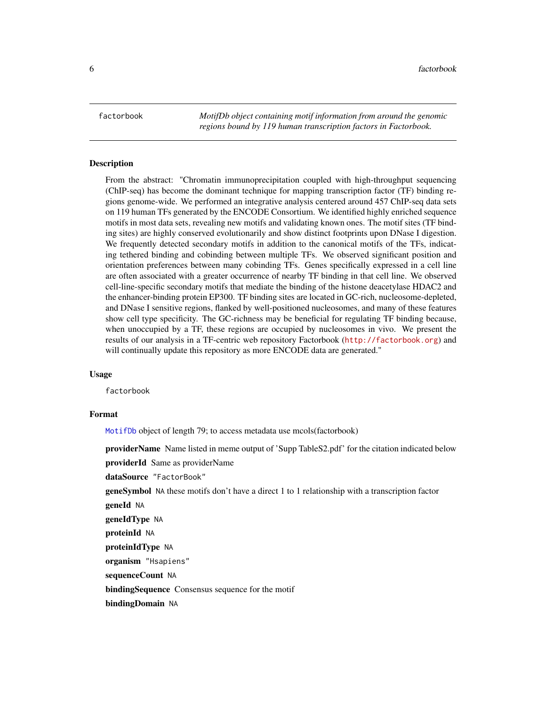<span id="page-5-1"></span><span id="page-5-0"></span>factorbook *MotifDb object containing motif information from around the genomic regions bound by 119 human transcription factors in Factorbook.*

#### **Description**

From the abstract: "Chromatin immunoprecipitation coupled with high-throughput sequencing (ChIP-seq) has become the dominant technique for mapping transcription factor (TF) binding regions genome-wide. We performed an integrative analysis centered around 457 ChIP-seq data sets on 119 human TFs generated by the ENCODE Consortium. We identified highly enriched sequence motifs in most data sets, revealing new motifs and validating known ones. The motif sites (TF binding sites) are highly conserved evolutionarily and show distinct footprints upon DNase I digestion. We frequently detected secondary motifs in addition to the canonical motifs of the TFs, indicating tethered binding and cobinding between multiple TFs. We observed significant position and orientation preferences between many cobinding TFs. Genes specifically expressed in a cell line are often associated with a greater occurrence of nearby TF binding in that cell line. We observed cell-line-specific secondary motifs that mediate the binding of the histone deacetylase HDAC2 and the enhancer-binding protein EP300. TF binding sites are located in GC-rich, nucleosome-depleted, and DNase I sensitive regions, flanked by well-positioned nucleosomes, and many of these features show cell type specificity. The GC-richness may be beneficial for regulating TF binding because, when unoccupied by a TF, these regions are occupied by nucleosomes in vivo. We present the results of our analysis in a TF-centric web repository Factorbook (<http://factorbook.org>) and will continually update this repository as more ENCODE data are generated."

#### Usage

factorbook

#### Format

[MotifDb](#page-0-0) object of length 79; to access metadata use mcols(factorbook)

providerName Name listed in meme output of 'Supp TableS2.pdf' for the citation indicated below

providerId Same as providerName

dataSource "FactorBook"

geneSymbol NA these motifs don't have a direct 1 to 1 relationship with a transcription factor

geneId NA

geneIdType NA

proteinId NA

proteinIdType NA

organism "Hsapiens"

sequenceCount NA

bindingSequence Consensus sequence for the motif

bindingDomain NA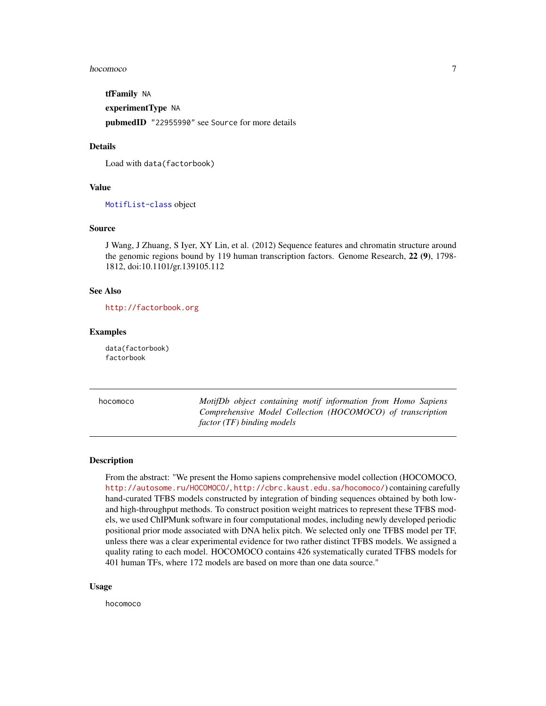#### <span id="page-6-0"></span>hocomoco and a state of the state of the state of the state of the state of the state of the state of the state of the state of the state of the state of the state of the state of the state of the state of the state of the

tfFamily NA experimentType NA pubmedID "22955990" see Source for more details

# Details

Load with data(factorbook)

#### Value

[MotifList-class](#page-0-0) object

#### Source

J Wang, J Zhuang, S Iyer, XY Lin, et al. (2012) Sequence features and chromatin structure around the genomic regions bound by 119 human transcription factors. Genome Research, 22 (9), 1798-1812, doi:10.1101/gr.139105.112

# See Also

<http://factorbook.org>

#### Examples

data(factorbook) factorbook

<span id="page-6-1"></span>hocomoco *MotifDb object containing motif information from Homo Sapiens Comprehensive Model Collection (HOCOMOCO) of transcription factor (TF) binding models*

# Description

From the abstract: "We present the Homo sapiens comprehensive model collection (HOCOMOCO, <http://autosome.ru/HOCOMOCO/>, <http://cbrc.kaust.edu.sa/hocomoco/>) containing carefully hand-curated TFBS models constructed by integration of binding sequences obtained by both lowand high-throughput methods. To construct position weight matrices to represent these TFBS models, we used ChIPMunk software in four computational modes, including newly developed periodic positional prior mode associated with DNA helix pitch. We selected only one TFBS model per TF, unless there was a clear experimental evidence for two rather distinct TFBS models. We assigned a quality rating to each model. HOCOMOCO contains 426 systematically curated TFBS models for 401 human TFs, where 172 models are based on more than one data source."

#### Usage

hocomoco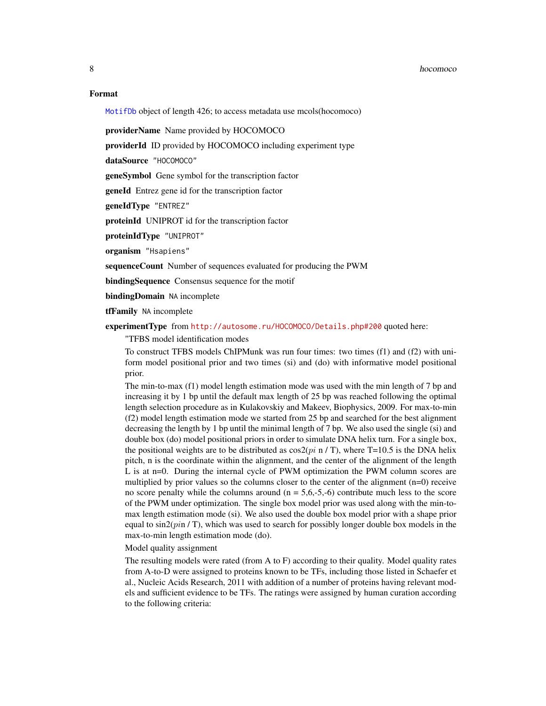#### Format

[MotifDb](#page-0-0) object of length 426; to access metadata use mcols(hocomoco)

providerName Name provided by HOCOMOCO

providerId ID provided by HOCOMOCO including experiment type

dataSource "HOCOMOCO"

geneSymbol Gene symbol for the transcription factor

geneId Entrez gene id for the transcription factor

geneIdType "ENTREZ"

proteinId UNIPROT id for the transcription factor

proteinIdType "UNIPROT"

organism "Hsapiens"

sequenceCount Number of sequences evaluated for producing the PWM

bindingSequence Consensus sequence for the motif

**bindingDomain** NA incomplete

tfFamily NA incomplete

experimentType from <http://autosome.ru/HOCOMOCO/Details.php#200> quoted here:

"TFBS model identification modes

To construct TFBS models ChIPMunk was run four times: two times (f1) and (f2) with uniform model positional prior and two times (si) and (do) with informative model positional prior.

The min-to-max (f1) model length estimation mode was used with the min length of 7 bp and increasing it by 1 bp until the default max length of 25 bp was reached following the optimal length selection procedure as in Kulakovskiy and Makeev, Biophysics, 2009. For max-to-min (f2) model length estimation mode we started from 25 bp and searched for the best alignment decreasing the length by 1 bp until the minimal length of 7 bp. We also used the single (si) and double box (do) model positional priors in order to simulate DNA helix turn. For a single box, the positional weights are to be distributed as  $\cos 2(pt$  n / T), where T=10.5 is the DNA helix pitch, n is the coordinate within the alignment, and the center of the alignment of the length L is at n=0. During the internal cycle of PWM optimization the PWM column scores are multiplied by prior values so the columns closer to the center of the alignment (n=0) receive no score penalty while the columns around  $(n = 5, 6, -5, -6)$  contribute much less to the score of the PWM under optimization. The single box model prior was used along with the min-tomax length estimation mode (si). We also used the double box model prior with a shape prior equal to  $sin2(pin / T)$ , which was used to search for possibly longer double box models in the max-to-min length estimation mode (do).

Model quality assignment

The resulting models were rated (from A to F) according to their quality. Model quality rates from A-to-D were assigned to proteins known to be TFs, including those listed in Schaefer et al., Nucleic Acids Research, 2011 with addition of a number of proteins having relevant models and sufficient evidence to be TFs. The ratings were assigned by human curation according to the following criteria:

<span id="page-7-0"></span>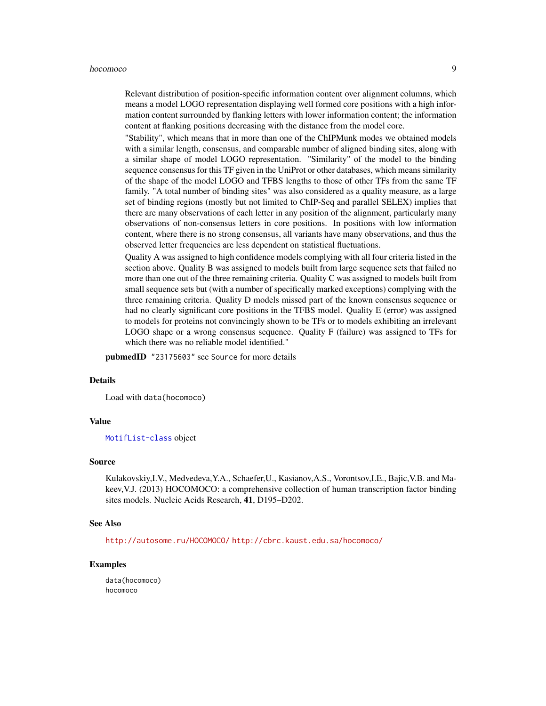#### hocomoco 9

Relevant distribution of position-specific information content over alignment columns, which means a model LOGO representation displaying well formed core positions with a high information content surrounded by flanking letters with lower information content; the information content at flanking positions decreasing with the distance from the model core.

"Stability", which means that in more than one of the ChIPMunk modes we obtained models with a similar length, consensus, and comparable number of aligned binding sites, along with a similar shape of model LOGO representation. "Similarity" of the model to the binding sequence consensus for this TF given in the UniProt or other databases, which means similarity of the shape of the model LOGO and TFBS lengths to those of other TFs from the same TF family. "A total number of binding sites" was also considered as a quality measure, as a large set of binding regions (mostly but not limited to ChIP-Seq and parallel SELEX) implies that there are many observations of each letter in any position of the alignment, particularly many observations of non-consensus letters in core positions. In positions with low information content, where there is no strong consensus, all variants have many observations, and thus the observed letter frequencies are less dependent on statistical fluctuations.

Quality A was assigned to high confidence models complying with all four criteria listed in the section above. Quality B was assigned to models built from large sequence sets that failed no more than one out of the three remaining criteria. Quality C was assigned to models built from small sequence sets but (with a number of specifically marked exceptions) complying with the three remaining criteria. Quality D models missed part of the known consensus sequence or had no clearly significant core positions in the TFBS model. Quality E (error) was assigned to models for proteins not convincingly shown to be TFs or to models exhibiting an irrelevant LOGO shape or a wrong consensus sequence. Quality F (failure) was assigned to TFs for which there was no reliable model identified."

pubmedID "23175603" see Source for more details

#### Details

Load with data(hocomoco)

#### Value

[MotifList-class](#page-0-0) object

#### Source

Kulakovskiy,I.V., Medvedeva,Y.A., Schaefer,U., Kasianov,A.S., Vorontsov,I.E., Bajic,V.B. and Makeev,V.J. (2013) HOCOMOCO: a comprehensive collection of human transcription factor binding sites models. Nucleic Acids Research, 41, D195–D202.

#### See Also

<http://autosome.ru/HOCOMOCO/> <http://cbrc.kaust.edu.sa/hocomoco/>

#### Examples

data(hocomoco) hocomoco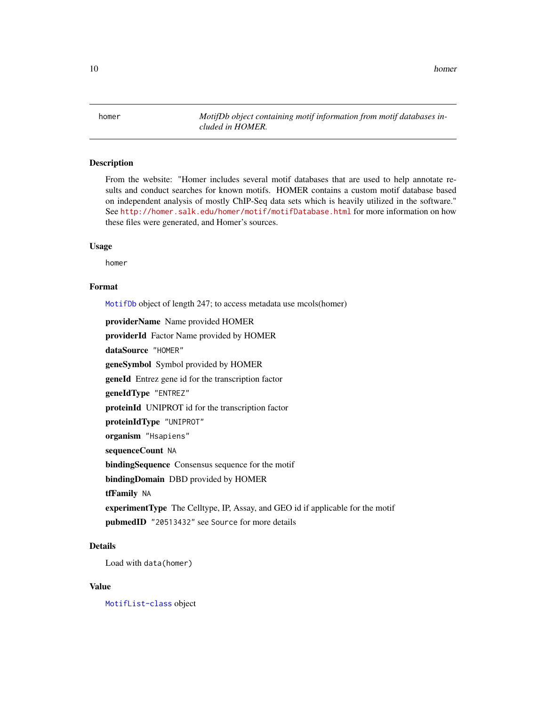<span id="page-9-0"></span>10 homer and the set of the set of the set of the set of the set of the set of the set of the set of the set of the set of the set of the set of the set of the set of the set of the set of the set of the set of the set of

<span id="page-9-1"></span>homer *MotifDb object containing motif information from motif databases included in HOMER.*

# **Description**

From the website: "Homer includes several motif databases that are used to help annotate results and conduct searches for known motifs. HOMER contains a custom motif database based on independent analysis of mostly ChIP-Seq data sets which is heavily utilized in the software." See <http://homer.salk.edu/homer/motif/motifDatabase.html> for more information on how these files were generated, and Homer's sources.

#### Usage

homer

#### Format

[MotifDb](#page-0-0) object of length 247; to access metadata use mcols(homer)

providerName Name provided HOMER

providerId Factor Name provided by HOMER

dataSource "HOMER"

geneSymbol Symbol provided by HOMER

geneId Entrez gene id for the transcription factor

geneIdType "ENTREZ"

proteinId UNIPROT id for the transcription factor

proteinIdType "UNIPROT"

organism "Hsapiens"

sequenceCount NA

bindingSequence Consensus sequence for the motif

bindingDomain DBD provided by HOMER

tfFamily NA

experimentType The Celltype, IP, Assay, and GEO id if applicable for the motif pubmedID "20513432" see Source for more details

#### Details

Load with data(homer)

#### Value

[MotifList-class](#page-0-0) object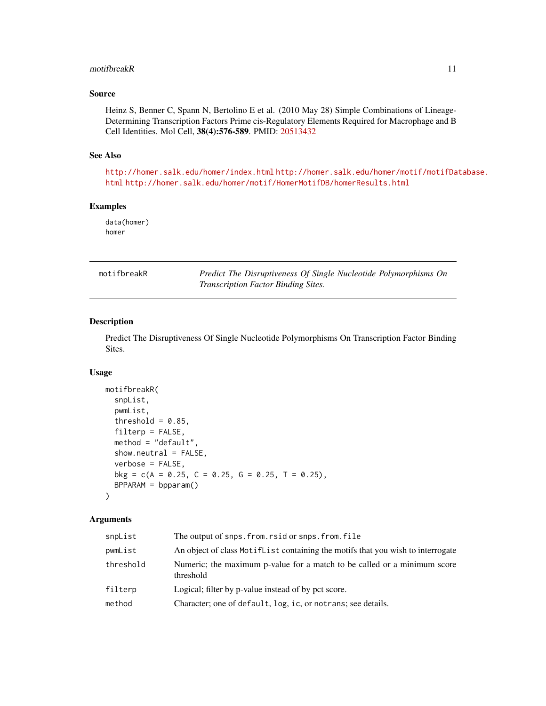#### <span id="page-10-0"></span>motifbreakR 11

# Source

Heinz S, Benner C, Spann N, Bertolino E et al. (2010 May 28) Simple Combinations of Lineage-Determining Transcription Factors Prime cis-Regulatory Elements Required for Macrophage and B Cell Identities. Mol Cell, 38(4):576-589. PMID: [20513432](http://www.ncbi.nlm.nih.gov/sites/entrez?Db=Pubmed&term=20513432[UID])

#### See Also

<http://homer.salk.edu/homer/index.html> [http://homer.salk.edu/homer/motif/motifDa](http://homer.salk.edu/homer/motif/motifDatabase.html)tabase. [html](http://homer.salk.edu/homer/motif/motifDatabase.html) <http://homer.salk.edu/homer/motif/HomerMotifDB/homerResults.html>

#### Examples

data(homer) homer

<span id="page-10-1"></span>

| motifbreakR | Predict The Disruptiveness Of Single Nucleotide Polymorphisms On |
|-------------|------------------------------------------------------------------|
|             | <i>Transcription Factor Binding Sites.</i>                       |

#### Description

Predict The Disruptiveness Of Single Nucleotide Polymorphisms On Transcription Factor Binding Sites.

# Usage

```
motifbreakR(
  snpList,
  pwmList,
  threshold = 0.85,
  filterp = FALSE,
  method = "default",
  show.neutral = FALSE,
  verbose = FALSE,
 bkg = c(A = 0.25, C = 0.25, G = 0.25, T = 0.25),
  BPPARAM = bpparam()
)
```
#### Arguments

| snpList   | The output of snps. from. rsid or snps. from. file                                    |
|-----------|---------------------------------------------------------------------------------------|
| pwmList   | An object of class Motiflist containing the motifs that you wish to interrogate       |
| threshold | Numeric; the maximum p-value for a match to be called or a minimum score<br>threshold |
| filterp   | Logical; filter by p-value instead of by pct score.                                   |
| method    | Character; one of default, log, ic, or notrans; see details.                          |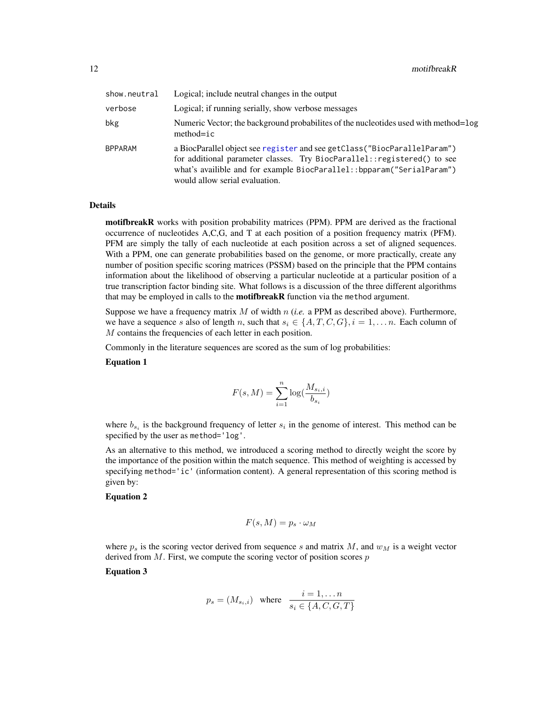<span id="page-11-0"></span>

| show.neutral   | Logical; include neutral changes in the output                                                                                                                                                                                                                   |
|----------------|------------------------------------------------------------------------------------------------------------------------------------------------------------------------------------------------------------------------------------------------------------------|
| verbose        | Logical; if running serially, show verbose messages                                                                                                                                                                                                              |
| bkg            | Numeric Vector; the background probabilities of the nucleotides used with method=log<br>$method = ic$                                                                                                                                                            |
| <b>BPPARAM</b> | a BiocParallel object see register and see getClass("BiocParallelParam")<br>for additional parameter classes. Try BiocParallel::registered() to see<br>what's availible and for example BiocParallel: : bpparam("SerialParam")<br>would allow serial evaluation. |

### Details

motifbreakR works with position probability matrices (PPM). PPM are derived as the fractional occurrence of nucleotides A,C,G, and T at each position of a position frequency matrix (PFM). PFM are simply the tally of each nucleotide at each position across a set of aligned sequences. With a PPM, one can generate probabilities based on the genome, or more practically, create any number of position specific scoring matrices (PSSM) based on the principle that the PPM contains information about the likelihood of observing a particular nucleotide at a particular position of a true transcription factor binding site. What follows is a discussion of the three different algorithms that may be employed in calls to the **motifbreakR** function via the method argument.

Suppose we have a frequency matrix  $M$  of width  $n$  (*i.e.* a PPM as described above). Furthermore, we have a sequence s also of length n, such that  $s_i \in \{A, T, C, G\}$ ,  $i = 1, \ldots n$ . Each column of M contains the frequencies of each letter in each position.

Commonly in the literature sequences are scored as the sum of log probabilities:

#### Equation 1

$$
F(s, M) = \sum_{i=1}^{n} \log(\frac{M_{s_i, i}}{b_{s_i}})
$$

where  $b_{s_i}$  is the background frequency of letter  $s_i$  in the genome of interest. This method can be specified by the user as method='log'.

As an alternative to this method, we introduced a scoring method to directly weight the score by the importance of the position within the match sequence. This method of weighting is accessed by specifying method='ic' (information content). A general representation of this scoring method is given by:

#### Equation 2

$$
F(s, M) = p_s \cdot \omega_M
$$

where  $p_s$  is the scoring vector derived from sequence s and matrix M, and  $w_M$  is a weight vector derived from  $M$ . First, we compute the scoring vector of position scores  $p$ 

#### Equation 3

$$
p_s = (M_{s_i,i}) \quad \text{where} \quad \frac{i = 1, \dots n}{s_i \in \{A, C, G, T\}}
$$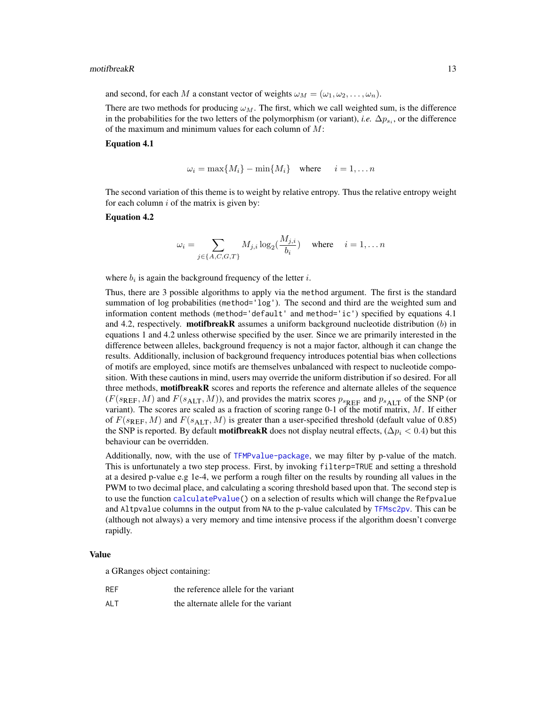<span id="page-12-0"></span>and second, for each M a constant vector of weights  $\omega_M = (\omega_1, \omega_2, \dots, \omega_n)$ .

There are two methods for producing  $\omega_M$ . The first, which we call weighted sum, is the difference in the probabilities for the two letters of the polymorphism (or variant), *i.e.*  $\Delta p_{s_i}$ , or the difference of the maximum and minimum values for each column of  $M$ :

### Equation 4.1

$$
\omega_i = \max\{M_i\} - \min\{M_i\} \quad \text{where} \quad i = 1, \dots n
$$

The second variation of this theme is to weight by relative entropy. Thus the relative entropy weight for each column  $i$  of the matrix is given by:

#### Equation 4.2

$$
\omega_i = \sum_{j \in \{A, C, G, T\}} M_{j,i} \log_2(\frac{M_{j,i}}{b_i}) \quad \text{where} \quad i = 1, \dots n
$$

where  $b_i$  is again the background frequency of the letter i.

Thus, there are 3 possible algorithms to apply via the method argument. The first is the standard summation of log probabilities (method='log'). The second and third are the weighted sum and information content methods (method='default' and method='ic') specified by equations 4.1 and 4.2, respectively. **motifbreakR** assumes a uniform background nucleotide distribution  $(b)$  in equations 1 and 4.2 unless otherwise specified by the user. Since we are primarily interested in the difference between alleles, background frequency is not a major factor, although it can change the results. Additionally, inclusion of background frequency introduces potential bias when collections of motifs are employed, since motifs are themselves unbalanced with respect to nucleotide composition. With these cautions in mind, users may override the uniform distribution if so desired. For all three methods, **motifbreakR** scores and reports the reference and alternate alleles of the sequence  $(F(s_{\text{REF}}, M)$  and  $F(s_{\text{ALT}}, M)$ ), and provides the matrix scores  $p_{s_{\text{REF}}}$  and  $p_{s_{\text{ALT}}}$  of the SNP (or variant). The scores are scaled as a fraction of scoring range 0-1 of the motif matrix, M. If either of  $F(s_{\text{REF}}, M)$  and  $F(s_{\text{ALT}}, M)$  is greater than a user-specified threshold (default value of 0.85) the SNP is reported. By default **motifbreakR** does not display neutral effects,  $(\Delta p_i < 0.4)$  but this behaviour can be overridden.

Additionally, now, with the use of [TFMPvalue-package](#page-0-0), we may filter by p-value of the match. This is unfortunately a two step process. First, by invoking filterp=TRUE and setting a threshold at a desired p-value e.g 1e-4, we perform a rough filter on the results by rounding all values in the PWM to two decimal place, and calculating a scoring threshold based upon that. The second step is to use the function [calculatePvalue\(](#page-1-1)) on a selection of results which will change the Refpvalue and Altpvalue columns in the output from NA to the p-value calculated by [TFMsc2pv](#page-0-0). This can be (although not always) a very memory and time intensive process if the algorithm doesn't converge rapidly.

#### Value

a GRanges object containing:

| <b>RFF</b> | the reference allele for the variant |
|------------|--------------------------------------|
| <b>ALT</b> | the alternate allele for the variant |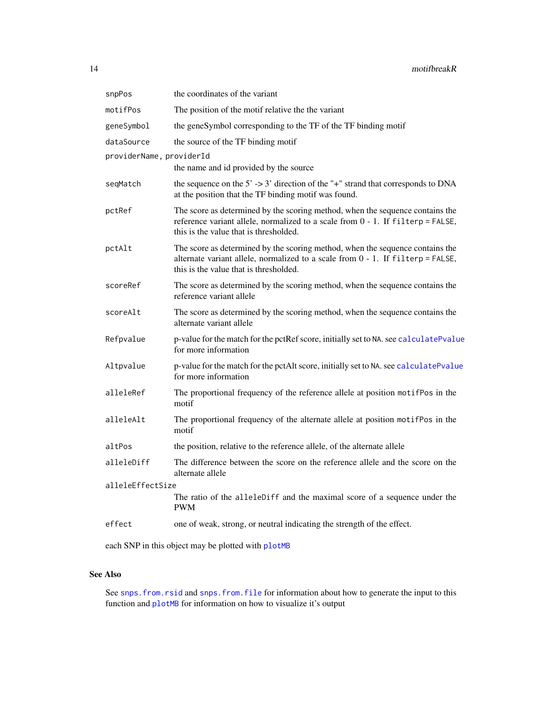<span id="page-13-0"></span>

| snpPos                   | the coordinates of the variant                                                                                                                                                                                |
|--------------------------|---------------------------------------------------------------------------------------------------------------------------------------------------------------------------------------------------------------|
| motifPos                 | The position of the motif relative the the variant                                                                                                                                                            |
| geneSymbol               | the geneSymbol corresponding to the TF of the TF binding motif                                                                                                                                                |
| dataSource               | the source of the TF binding motif                                                                                                                                                                            |
| providerName, providerId | the name and id provided by the source                                                                                                                                                                        |
| seqMatch                 | the sequence on the $5'$ -> 3' direction of the "+" strand that corresponds to DNA<br>at the position that the TF binding motif was found.                                                                    |
| pctRef                   | The score as determined by the scoring method, when the sequence contains the<br>reference variant allele, normalized to a scale from $0 - 1$ . If filterp = FALSE,<br>this is the value that is thresholded. |
| pctAlt                   | The score as determined by the scoring method, when the sequence contains the<br>alternate variant allele, normalized to a scale from 0 - 1. If filterp = FALSE,<br>this is the value that is thresholded.    |
| scoreRef                 | The score as determined by the scoring method, when the sequence contains the<br>reference variant allele                                                                                                     |
| scoreAlt                 | The score as determined by the scoring method, when the sequence contains the<br>alternate variant allele                                                                                                     |
| Refpvalue                | p-value for the match for the pctRef score, initially set to NA. see calculatePvalue<br>for more information                                                                                                  |
| Altpvalue                | p-value for the match for the pctAlt score, initially set to NA. see calculatePvalue<br>for more information                                                                                                  |
| alleleRef                | The proportional frequency of the reference allele at position motifPos in the<br>motif                                                                                                                       |
| alleleAlt                | The proportional frequency of the alternate allele at position motifPos in the<br>motif                                                                                                                       |
| altPos                   | the position, relative to the reference allele, of the alternate allele                                                                                                                                       |
| alleleDiff               | The difference between the score on the reference allele and the score on the<br>alternate allele                                                                                                             |
| alleleEffectSize         |                                                                                                                                                                                                               |
|                          | The ratio of the alleleDiff and the maximal score of a sequence under the<br><b>PWM</b>                                                                                                                       |
| effect                   | one of weak, strong, or neutral indicating the strength of the effect.                                                                                                                                        |
|                          |                                                                                                                                                                                                               |

each SNP in this object may be plotted with [plotMB](#page-15-1)

# See Also

See snps. from.rsid and [snps.from.file](#page-16-1) for information about how to generate the input to this function and [plotMB](#page-15-1) for information on how to visualize it's output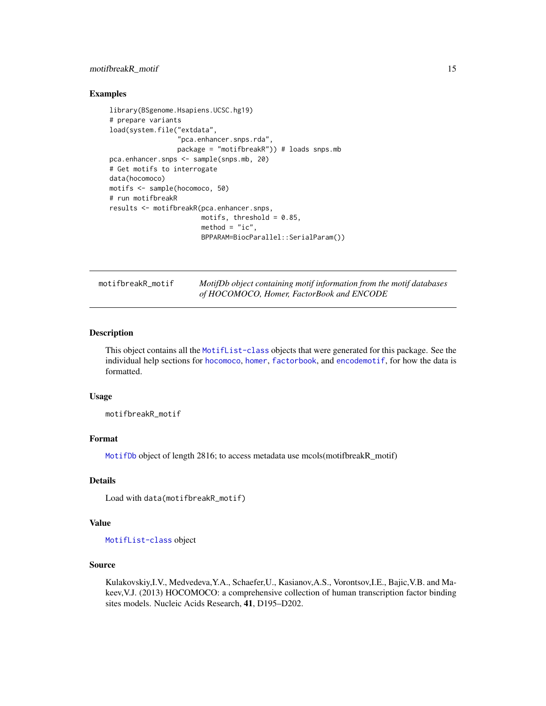# <span id="page-14-0"></span>motifbreakR\_motif 15

#### Examples

```
library(BSgenome.Hsapiens.UCSC.hg19)
# prepare variants
load(system.file("extdata",
                 "pca.enhancer.snps.rda",
                 package = "motifbreakR")) # loads snps.mb
pca.enhancer.snps <- sample(snps.mb, 20)
# Get motifs to interrogate
data(hocomoco)
motifs <- sample(hocomoco, 50)
# run motifbreakR
results <- motifbreakR(pca.enhancer.snps,
                       motifs, threshold = 0.85,
                       method = "ic",BPPARAM=BiocParallel::SerialParam())
```

| motifbreakR_motif | MotifDb object containing motif information from the motif databases |
|-------------------|----------------------------------------------------------------------|
|                   | of HOCOMOCO, Homer, FactorBook and ENCODE                            |

# Description

This object contains all the [MotifList-class](#page-0-0) objects that were generated for this package. See the individual help sections for [hocomoco](#page-6-1), [homer](#page-9-1), [factorbook](#page-5-1), and [encodemotif](#page-2-1), for how the data is formatted.

# Usage

motifbreakR\_motif

# Format

[MotifDb](#page-0-0) object of length 2816; to access metadata use mcols(motifbreakR\_motif)

# Details

Load with data(motifbreakR\_motif)

#### Value

```
MotifList-class object
```
# Source

Kulakovskiy,I.V., Medvedeva,Y.A., Schaefer,U., Kasianov,A.S., Vorontsov,I.E., Bajic,V.B. and Makeev,V.J. (2013) HOCOMOCO: a comprehensive collection of human transcription factor binding sites models. Nucleic Acids Research, 41, D195–D202.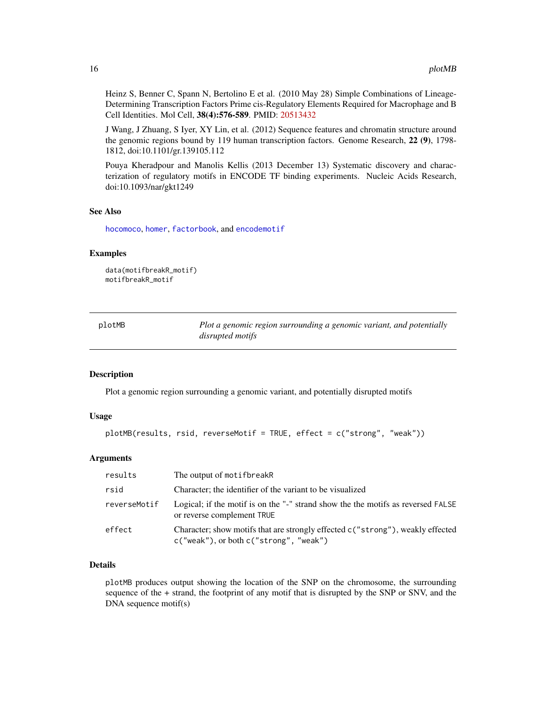<span id="page-15-0"></span>Heinz S, Benner C, Spann N, Bertolino E et al. (2010 May 28) Simple Combinations of Lineage-Determining Transcription Factors Prime cis-Regulatory Elements Required for Macrophage and B Cell Identities. Mol Cell, 38(4):576-589. PMID: [20513432](http://www.ncbi.nlm.nih.gov/sites/entrez?Db=Pubmed&term=20513432[UID])

J Wang, J Zhuang, S Iyer, XY Lin, et al. (2012) Sequence features and chromatin structure around the genomic regions bound by 119 human transcription factors. Genome Research, 22 (9), 1798-1812, doi:10.1101/gr.139105.112

Pouya Kheradpour and Manolis Kellis (2013 December 13) Systematic discovery and characterization of regulatory motifs in ENCODE TF binding experiments. Nucleic Acids Research, doi:10.1093/nar/gkt1249

#### See Also

[hocomoco](#page-6-1), [homer](#page-9-1), [factorbook](#page-5-1), and [encodemotif](#page-2-1)

#### Examples

```
data(motifbreakR_motif)
motifbreakR_motif
```
<span id="page-15-1"></span>

| plotMB | Plot a genomic region surrounding a genomic variant, and potentially |
|--------|----------------------------------------------------------------------|
|        | disrupted motifs                                                     |

### Description

Plot a genomic region surrounding a genomic variant, and potentially disrupted motifs

# Usage

```
plotMB(results, rsid, reverseMotif = TRUE, effect = c("strong", "weak"))
```
#### Arguments

| results      | The output of motifbreakR                                                                                                    |
|--------------|------------------------------------------------------------------------------------------------------------------------------|
| rsid         | Character; the identifier of the variant to be visualized                                                                    |
| reverseMotif | Logical; if the motif is on the "-" strand show the the motifs as reversed FALSE<br>or reverse complement TRUE               |
| effect       | Character; show motifs that are strongly effected c("strong"), weakly effected<br>$c("weak"),$ or both $c("strong", "weak")$ |

### Details

plotMB produces output showing the location of the SNP on the chromosome, the surrounding sequence of the + strand, the footprint of any motif that is disrupted by the SNP or SNV, and the DNA sequence motif(s)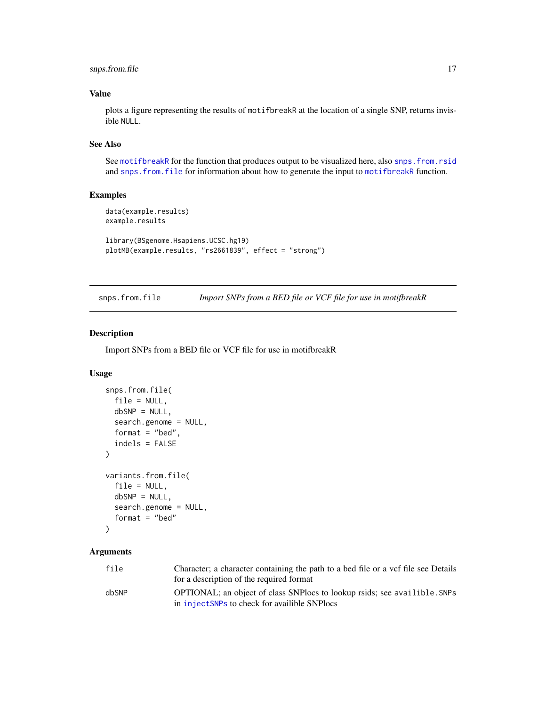# <span id="page-16-0"></span>snps.from.file 17

# Value

plots a figure representing the results of motifbreakR at the location of a single SNP, returns invisible NULL.

# See Also

See [motifbreakR](#page-10-1) for the function that produces output to be visualized here, also [snps.from.rsid](#page-18-1) and [snps.from.file](#page-16-1) for information about how to generate the input to [motifbreakR](#page-10-1) function.

#### Examples

```
data(example.results)
example.results
library(BSgenome.Hsapiens.UCSC.hg19)
plotMB(example.results, "rs2661839", effect = "strong")
```
<span id="page-16-1"></span>

| snps.from.file |  | Import SNPs from a BED file or VCF file for use in motifbreakR |
|----------------|--|----------------------------------------------------------------|
|                |  |                                                                |

### Description

Import SNPs from a BED file or VCF file for use in motifbreakR

#### Usage

```
snps.from.file(
  file = NULL,
  dbSNP = NULL,
  search.genome = NULL,
  format = "bed",
  indels = FALSE
\lambdavariants.from.file(
  file = NULL,
  dbSNP = NULL,search.genome = NULL,
  format = "bed")
```
# Arguments

| file  | Character; a character containing the path to a bed file or a vcf file see Details |
|-------|------------------------------------------------------------------------------------|
|       | for a description of the required format                                           |
| dbSNP | <b>OPTIONAL</b> ; an object of class SNPlocs to lookup rsids; see available. SNPs  |
|       | in injectSNPs to check for availible SNPlocs                                       |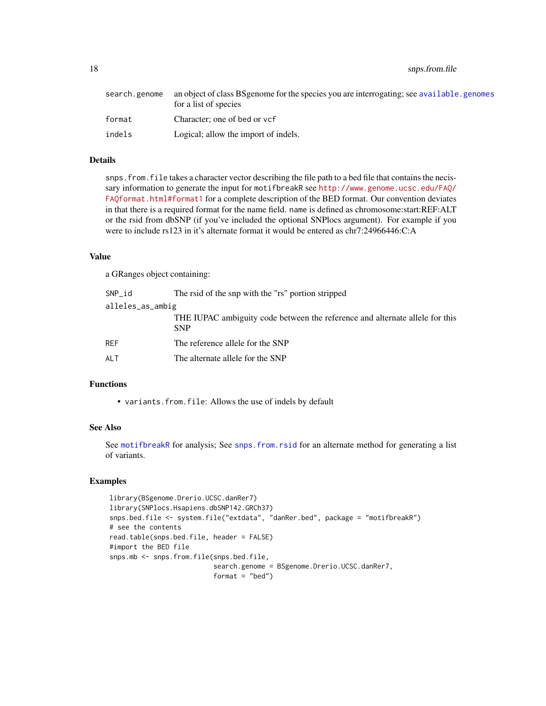<span id="page-17-0"></span>18 snps.from.file

| search.genome | an object of class BS genome for the species you are interrogating; see available. genomes<br>for a list of species |
|---------------|---------------------------------------------------------------------------------------------------------------------|
| format        | Character; one of bed or vcf                                                                                        |
| indels        | Logical; allow the import of indels.                                                                                |

#### Details

snps.from.file takes a character vector describing the file path to a bed file that contains the necissary information to generate the input for motifbreakR see [http://www.genome.ucsc.edu/FAQ/](http://www.genome.ucsc.edu/FAQ/FAQformat.html#format1) [FAQformat.html#format1](http://www.genome.ucsc.edu/FAQ/FAQformat.html#format1) for a complete description of the BED format. Our convention deviates in that there is a required format for the name field. name is defined as chromosome:start:REF:ALT or the rsid from dbSNP (if you've included the optional SNPlocs argument). For example if you were to include rs123 in it's alternate format it would be entered as chr7:24966446:C:A

#### Value

a GRanges object containing:

| SNP_id           | The rsid of the snp with the "rs" portion stripped                                         |  |  |
|------------------|--------------------------------------------------------------------------------------------|--|--|
| alleles_as_ambig |                                                                                            |  |  |
|                  | THE IUPAC ambiguity code between the reference and alternate allele for this<br><b>SNP</b> |  |  |
| RFF              | The reference allele for the SNP                                                           |  |  |
| ALT              | The alternate allele for the SNP                                                           |  |  |

# Functions

• variants.from.file: Allows the use of indels by default

#### See Also

See [motifbreakR](#page-10-1) for analysis; See [snps.from.rsid](#page-18-1) for an alternate method for generating a list of variants.

# Examples

```
library(BSgenome.Drerio.UCSC.danRer7)
library(SNPlocs.Hsapiens.dbSNP142.GRCh37)
snps.bed.file <- system.file("extdata", "danRer.bed", package = "motifbreakR")
# see the contents
read.table(snps.bed.file, header = FALSE)
#import the BED file
snps.mb <- snps.from.file(snps.bed.file,
                          search.genome = BSgenome.Drerio.UCSC.danRer7,
                          format = "bed")
```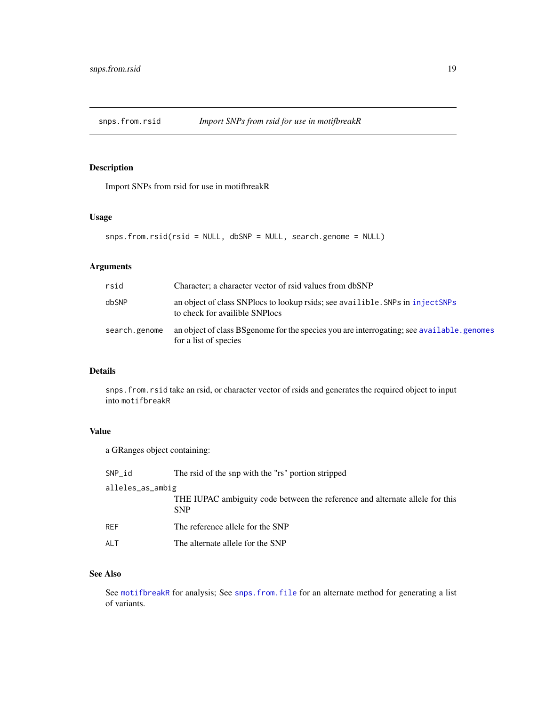<span id="page-18-1"></span><span id="page-18-0"></span>

# Description

Import SNPs from rsid for use in motifbreakR

# Usage

```
snps.from.rsid(rsid = NULL, dbSNP = NULL, search.genome = NULL)
```
# Arguments

| rsid          | Character; a character vector of rsid values from dbSNP                                                             |
|---------------|---------------------------------------------------------------------------------------------------------------------|
| dbSNP         | an object of class SNPlocs to lookup rsids; see availible. SNPs in injectSNPs<br>to check for availible SNPlocs     |
| search.genome | an object of class BS genome for the species you are interrogating; see available, genomes<br>for a list of species |

# Details

snps.from.rsid take an rsid, or character vector of rsids and generates the required object to input into motifbreakR

# Value

a GRanges object containing:

| SNP id           | The rsid of the snp with the "rs" portion stripped                                         |  |  |
|------------------|--------------------------------------------------------------------------------------------|--|--|
| alleles_as_ambig |                                                                                            |  |  |
|                  | THE IUPAC ambiguity code between the reference and alternate allele for this<br><b>SNP</b> |  |  |
| RFF              | The reference allele for the SNP                                                           |  |  |
| ALT              | The alternate allele for the SNP                                                           |  |  |
|                  |                                                                                            |  |  |

# See Also

See [motifbreakR](#page-10-1) for analysis; See [snps.from.file](#page-16-1) for an alternate method for generating a list of variants.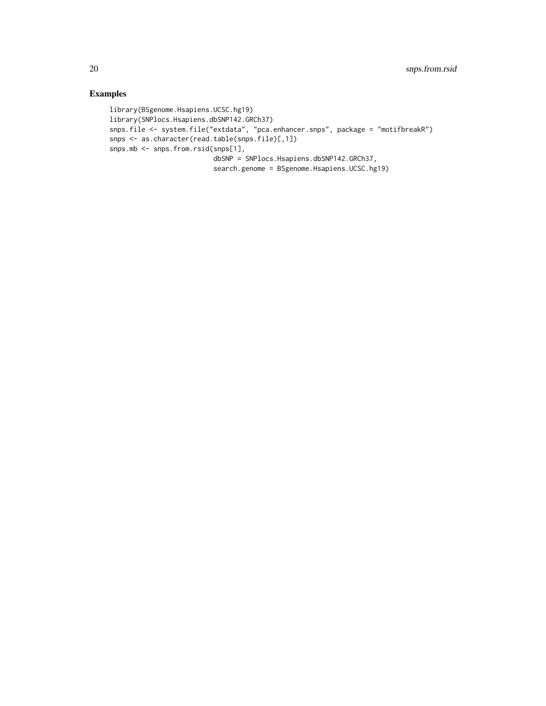# Examples

```
library(BSgenome.Hsapiens.UCSC.hg19)
library(SNPlocs.Hsapiens.dbSNP142.GRCh37)
snps.file <- system.file("extdata", "pca.enhancer.snps", package = "motifbreakR")
snps <- as.character(read.table(snps.file)[,1])
snps.mb <- snps.from.rsid(snps[1],
                         dbSNP = SNPlocs.Hsapiens.dbSNP142.GRCh37,
                         search.genome = BSgenome.Hsapiens.UCSC.hg19)
```